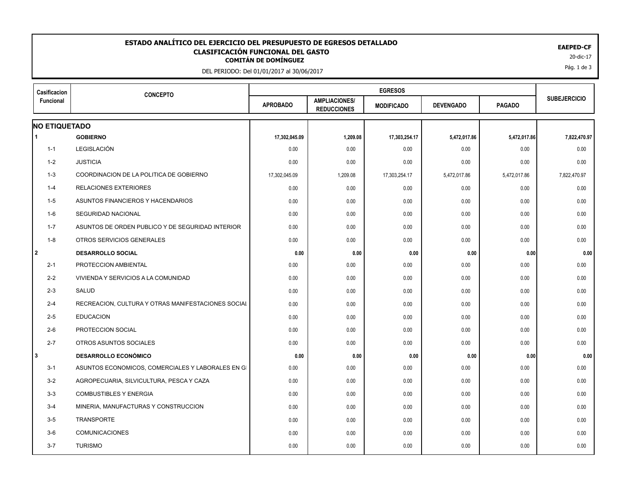## EAEPED-CF<br>**CLASIFICACIÓN FUNCIONAL DEL GASTO**<br>20-dic-17 <sup>20-dic-17</sup> **ESTADO ANALÍTICO DEL EJERCICIO DEL PRESUPUESTO DE EGRESOS DETALLADO EAEPED-CF CLASIFICACIÓN FUNCIONAL DEL GASTO**

DEL PERIODO: Del 01/01/2017 al 30/06/2017

| Casificacion<br>Funcional | <b>CONCEPTO</b>                                    |                 |                                            |                   |                  |               |                     |
|---------------------------|----------------------------------------------------|-----------------|--------------------------------------------|-------------------|------------------|---------------|---------------------|
|                           |                                                    | <b>APROBADO</b> | <b>AMPLIACIONES/</b><br><b>REDUCCIONES</b> | <b>MODIFICADO</b> | <b>DEVENGADO</b> | <b>PAGADO</b> | <b>SUBEJERCICIO</b> |
| <b>NO ETIQUETADO</b>      |                                                    |                 |                                            |                   |                  |               |                     |
| $\blacktriangleleft$      | <b>GOBIERNO</b>                                    | 17,302,045.09   | 1,209.08                                   | 17,303,254.17     | 5,472,017.86     | 5,472,017.86  | 7,822,470.97        |
| $1 - 1$                   | LEGISLACIÓN                                        | 0.00            | 0.00                                       | 0.00              | 0.00             | 0.00          | 0.00                |
| $1 - 2$                   | <b>JUSTICIA</b>                                    | 0.00            | 0.00                                       | 0.00              | 0.00             | 0.00          | 0.00                |
| $1 - 3$                   | COORDINACION DE LA POLITICA DE GOBIERNO            | 17,302,045.09   | 1,209.08                                   | 17,303,254.17     | 5,472,017.86     | 5,472,017.86  | 7,822,470.97        |
| $1 - 4$                   | <b>RELACIONES EXTERIORES</b>                       | 0.00            | 0.00                                       | 0.00              | 0.00             | 0.00          | 0.00                |
| $1 - 5$                   | ASUNTOS FINANCIEROS Y HACENDARIOS                  | 0.00            | 0.00                                       | 0.00              | 0.00             | 0.00          | 0.00                |
| $1-6$                     | SEGURIDAD NACIONAL                                 | 0.00            | 0.00                                       | 0.00              | 0.00             | 0.00          | 0.00                |
| $1 - 7$                   | ASUNTOS DE ORDEN PUBLICO Y DE SEGURIDAD INTERIOR   | 0.00            | 0.00                                       | 0.00              | 0.00             | 0.00          | 0.00                |
| $1 - 8$                   | OTROS SERVICIOS GENERALES                          | 0.00            | 0.00                                       | 0.00              | 0.00             | 0.00          | 0.00                |
| l 2                       | <b>DESARROLLO SOCIAL</b>                           | 0.00            | 0.00                                       | 0.00              | 0.00             | 0.00          | 0.00                |
| $2 - 1$                   | PROTECCION AMBIENTAL                               | 0.00            | 0.00                                       | 0.00              | 0.00             | 0.00          | 0.00                |
| $2 - 2$                   | VIVIENDA Y SERVICIOS A LA COMUNIDAD                | 0.00            | 0.00                                       | 0.00              | 0.00             | 0.00          | 0.00                |
| $2 - 3$                   | SALUD                                              | 0.00            | 0.00                                       | 0.00              | 0.00             | 0.00          | 0.00                |
| $2 - 4$                   | RECREACION, CULTURA Y OTRAS MANIFESTACIONES SOCIAL | 0.00            | 0.00                                       | 0.00              | 0.00             | 0.00          | 0.00                |
| $2 - 5$                   | <b>EDUCACION</b>                                   | 0.00            | 0.00                                       | 0.00              | 0.00             | 0.00          | 0.00                |
| $2 - 6$                   | PROTECCION SOCIAL                                  | 0.00            | 0.00                                       | 0.00              | 0.00             | 0.00          | 0.00                |
| $2 - 7$                   | OTROS ASUNTOS SOCIALES                             | 0.00            | 0.00                                       | 0.00              | 0.00             | 0.00          | 0.00                |
| l3                        | <b>DESARROLLO ECONÓMICO</b>                        | 0.00            | 0.00                                       | 0.00              | 0.00             | 0.00          | 0.00                |
| $3 - 1$                   | ASUNTOS ECONOMICOS, COMERCIALES Y LABORALES EN GI  | 0.00            | 0.00                                       | 0.00              | 0.00             | 0.00          | 0.00                |
| $3 - 2$                   | AGROPECUARIA, SILVICULTURA, PESCA Y CAZA           | 0.00            | 0.00                                       | 0.00              | 0.00             | 0.00          | 0.00                |
| $3-3$                     | <b>COMBUSTIBLES Y ENERGIA</b>                      | 0.00            | 0.00                                       | 0.00              | 0.00             | 0.00          | 0.00                |
| $3 - 4$                   | MINERIA, MANUFACTURAS Y CONSTRUCCION               | 0.00            | 0.00                                       | 0.00              | 0.00             | 0.00          | 0.00                |
| $3-5$                     | <b>TRANSPORTE</b>                                  | 0.00            | 0.00                                       | 0.00              | 0.00             | 0.00          | 0.00                |
| $3-6$                     | <b>COMUNICACIONES</b>                              | 0.00            | 0.00                                       | 0.00              | 0.00             | 0.00          | 0.00                |
| $3 - 7$                   | <b>TURISMO</b>                                     | 0.00            | 0.00                                       | 0.00              | 0.00             | 0.00          | 0.00                |
|                           |                                                    |                 |                                            |                   |                  |               |                     |

Pág. 1 de 3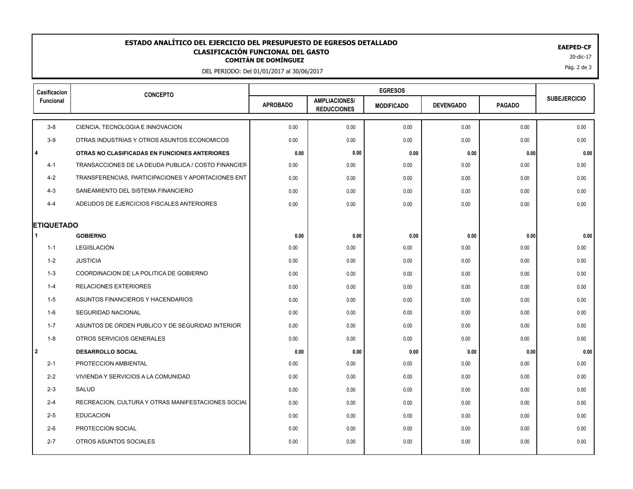## EAEPED-CF<br>**CLASIFICACIÓN FUNCIONAL DEL GASTO**<br>20-dic-17 <sup>20-dic-17</sup> **ESTADO ANALÍTICO DEL EJERCICIO DEL PRESUPUESTO DE EGRESOS DETALLADO EAEPED-CF CLASIFICACIÓN FUNCIONAL DEL GASTO**

DEL PERIODO: Del 01/01/2017 al 30/06/2017

| Casificacion         | <b>CONCEPTO</b>                                     |                 |                                            |                   |                  |               |                     |
|----------------------|-----------------------------------------------------|-----------------|--------------------------------------------|-------------------|------------------|---------------|---------------------|
| Funcional            |                                                     | <b>APROBADO</b> | <b>AMPLIACIONES/</b><br><b>REDUCCIONES</b> | <b>MODIFICADO</b> | <b>DEVENGADO</b> | <b>PAGADO</b> | <b>SUBEJERCICIO</b> |
| $3-8$                | CIENCIA, TECNOLOGIA E INNOVACION                    | 0.00            | 0.00                                       | 0.00              | 0.00             | 0.00          | 0.00                |
| $3-9$                | OTRAS INDUSTRIAS Y OTROS ASUNTOS ECONOMICOS         | 0.00            | 0.00                                       | 0.00              | 0.00             | 0.00          | 0.00                |
| l 4                  | OTRAS NO CLASIFICADAS EN FUNCIONES ANTERIORES       | 0.00            | 0.00                                       | 0.00              | 0.00             | 0.00          | 0.00                |
| $4 - 1$              | TRANSACCIONES DE LA DEUDA PUBLICA / COSTO FINANCIER | 0.00            | 0.00                                       | 0.00              | 0.00             | 0.00          | 0.00                |
| $4 - 2$              | TRANSFERENCIAS, PARTICIPACIONES Y APORTACIONES ENT  | 0.00            | 0.00                                       | 0.00              | 0.00             | 0.00          | 0.00                |
| $4 - 3$              | SANEAMIENTO DEL SISTEMA FINANCIERO                  | 0.00            | 0.00                                       | 0.00              | 0.00             | 0.00          | 0.00                |
| $4 - 4$              | ADEUDOS DE EJERCICIOS FISCALES ANTERIORES           | 0.00            | 0.00                                       | 0.00              | 0.00             | 0.00          | 0.00                |
| <b>ETIQUETADO</b>    |                                                     |                 |                                            |                   |                  |               |                     |
| $\blacktriangleleft$ | <b>GOBIERNO</b>                                     | 0.00            | 0.00                                       | 0.00              | 0.00             | 0.00          | 0.00                |
| $1 - 1$              | LEGISLACIÓN                                         | 0.00            | 0.00                                       | 0.00              | 0.00             | 0.00          | 0.00                |
| $1 - 2$              | <b>JUSTICIA</b>                                     | 0.00            | 0.00                                       | 0.00              | 0.00             | 0.00          | 0.00                |
| $1 - 3$              | COORDINACION DE LA POLITICA DE GOBIERNO             | 0.00            | 0.00                                       | 0.00              | 0.00             | 0.00          | 0.00                |
| $1 - 4$              | <b>RELACIONES EXTERIORES</b>                        | 0.00            | 0.00                                       | 0.00              | 0.00             | 0.00          | 0.00                |
| $1 - 5$              | ASUNTOS FINANCIEROS Y HACENDARIOS                   | 0.00            | 0.00                                       | 0.00              | 0.00             | 0.00          | 0.00                |
| $1-6$                | SEGURIDAD NACIONAL                                  | 0.00            | 0.00                                       | 0.00              | 0.00             | 0.00          | 0.00                |
| $1 - 7$              | ASUNTOS DE ORDEN PUBLICO Y DE SEGURIDAD INTERIOR    | 0.00            | 0.00                                       | 0.00              | 0.00             | 0.00          | 0.00                |
| $1 - 8$              | OTROS SERVICIOS GENERALES                           | 0.00            | 0.00                                       | 0.00              | 0.00             | 0.00          | 0.00                |
| 2                    | <b>DESARROLLO SOCIAL</b>                            | 0.00            | 0.00                                       | 0.00              | 0.00             | 0.00          | 0.00                |
| $2 - 1$              | PROTECCION AMBIENTAL                                | 0.00            | 0.00                                       | 0.00              | 0.00             | 0.00          | 0.00                |
| $2 - 2$              | VIVIENDA Y SERVICIOS A LA COMUNIDAD                 | 0.00            | 0.00                                       | 0.00              | 0.00             | 0.00          | 0.00                |
| $2 - 3$              | SALUD                                               | 0.00            | 0.00                                       | 0.00              | 0.00             | 0.00          | 0.00                |
| $2 - 4$              | RECREACION, CULTURA Y OTRAS MANIFESTACIONES SOCIAL  | 0.00            | 0.00                                       | 0.00              | 0.00             | 0.00          | 0.00                |
| $2 - 5$              | <b>EDUCACION</b>                                    | 0.00            | 0.00                                       | 0.00              | 0.00             | 0.00          | 0.00                |
| $2-6$                | PROTECCION SOCIAL                                   | 0.00            | 0.00                                       | 0.00              | 0.00             | 0.00          | 0.00                |
| $2 - 7$              | OTROS ASUNTOS SOCIALES                              | 0.00            | 0.00                                       | 0.00              | 0.00             | 0.00          | 0.00                |
|                      |                                                     |                 |                                            |                   |                  |               |                     |

Pág. 2 de 3